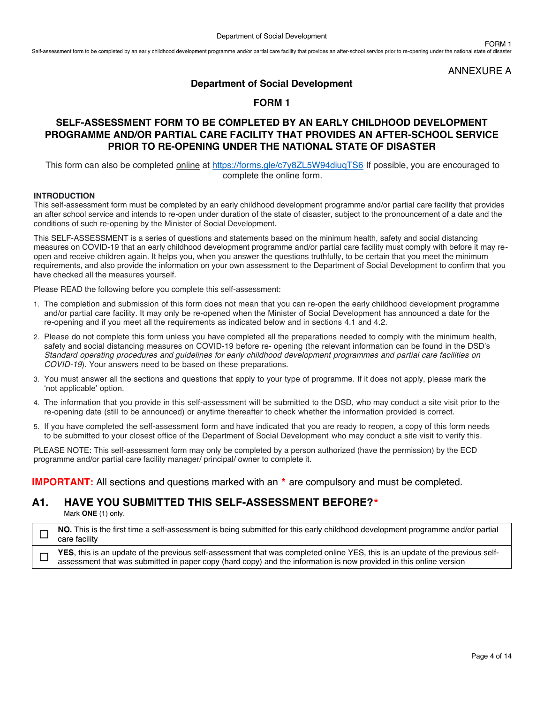ANNEXURE A

FORM 1

### **Department of Social Development**

# **FORM 1**

# **SELF-ASSESSMENT FORM TO BE COMPLETED BY AN EARLY CHILDHOOD DEVELOPMENT PROGRAMME AND/OR PARTIAL CARE FACILITY THAT PROVIDES AN AFTER-SCHOOL SERVICE PRIOR TO RE-OPENING UNDER THE NATIONAL STATE OF DISASTER**

This form can also be completed online at<https://forms.gle/c7y8ZL5W94diuqTS6> If possible, you are encouraged to complete the online form.

### **INTRODUCTION**

This self-assessment form must be completed by an early childhood development programme and/or partial care facility that provides an after school service and intends to re-open under duration of the state of disaster, subject to the pronouncement of a date and the conditions of such re-opening by the Minister of Social Development.

This SELF-ASSESSMENT is a series of questions and statements based on the minimum health, safety and social distancing measures on COVID-19 that an early childhood development programme and/or partial care facility must comply with before it may reopen and receive children again. It helps you, when you answer the questions truthfully, to be certain that you meet the minimum requirements, and also provide the information on your own assessment to the Department of Social Development to confirm that you have checked all the measures yourself.

Please READ the following before you complete this self-assessment:

- 1. The completion and submission of this form does not mean that you can re-open the early childhood development programme and/or partial care facility. It may only be re-opened when the Minister of Social Development has announced a date for the re-opening and if you meet all the requirements as indicated below and in sections 4.1 and 4.2.
- 2. Please do not complete this form unless you have completed all the preparations needed to comply with the minimum health, safety and social distancing measures on COVID-19 before re- opening (the relevant information can be found in the DSD's *Standard operating procedures and guidelines for early childhood development programmes and partial care facilities on COVID-19*). Your answers need to be based on these preparations.
- 3. You must answer all the sections and questions that apply to your type of programme. If it does not apply, please mark the 'not applicable' option.
- 4. The information that you provide in this self-assessment will be submitted to the DSD, who may conduct a site visit prior to the re-opening date (still to be announced) or anytime thereafter to check whether the information provided is correct.
- 5. If you have completed the self-assessment form and have indicated that you are ready to reopen, a copy of this form needs to be submitted to your closest office of the Department of Social Development who may conduct a site visit to verify this.

PLEASE NOTE: This self-assessment form may only be completed by a person authorized (have the permission) by the ECD programme and/or partial care facility manager/ principal/ owner to complete it.

**IMPORTANT:** All sections and questions marked with an  $*$  are compulsory and must be completed.

# **A1. HAVE YOU SUBMITTED THIS SELF-ASSESSMENT BEFORE?**\*

Mark **ONE** (1) only.

□ NO. This is the first time a self-assessment is being submitted for this early childhood development programme and/or partial care facility

**THES**, this is an update of the previous self-assessment that was completed online YES, this is an update of the previous self-<br>
■ accessment that was submitted in appearance (bard sen)) and the information is now provid assessment that was submitted in paper copy (hard copy) and the information is now provided in this online version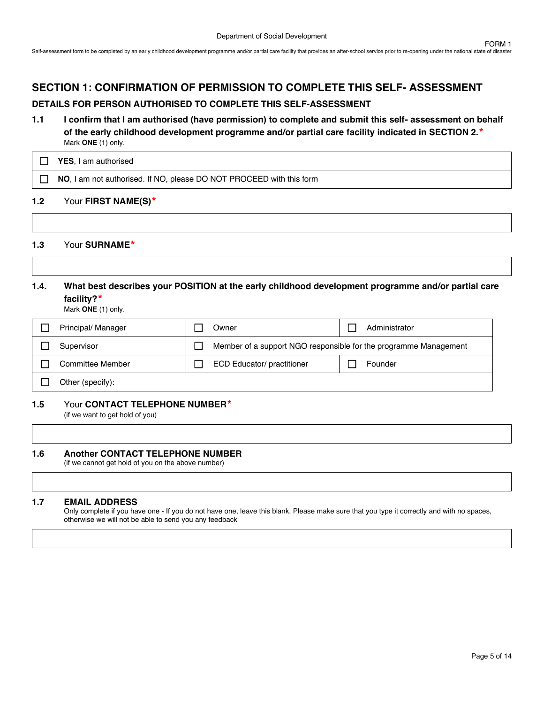# **SECTION 1: CONFIRMATION OF PERMISSION TO COMPLETE THIS SELF- ASSESSMENT**

### **DETAILS FOR PERSON AUTHORISED TO COMPLETE THIS SELF-ASSESSMENT**

**1.1 I confirm that I am authorised (have permission) to complete and submit this self- assessment on behalf of the early childhood development programme and/or partial care facility indicated in SECTION 2.**\* Mark **ONE** (1) only.

| <b>YES.</b> I am authorised                                          |
|----------------------------------------------------------------------|
| NO, I am not authorised. If NO, please DO NOT PROCEED with this form |

### **1.2** Your **FIRST NAME(S)**\*

### **1.3** Your **SURNAME**\*

### **1.4. What best describes your POSITION at the early childhood development programme and/or partial care facility?**\*

Mark **ONE** (1) only.

| Principal/ Manager | Owner                                                            | Administrator |
|--------------------|------------------------------------------------------------------|---------------|
| Supervisor         | Member of a support NGO responsible for the programme Management |               |
| Committee Member   | <b>ECD Educator/ practitioner</b>                                | Founder       |
| Other (specify):   |                                                                  |               |

#### **1.5** Your **CONTACT TELEPHONE NUMBER**\*

(if we want to get hold of you)

#### **1.6 Another CONTACT TELEPHONE NUMBER**

(if we cannot get hold of you on the above number)

#### **1.7 EMAIL ADDRESS**

Only complete if you have one - If you do not have one, leave this blank. Please make sure that you type it correctly and with no spaces, otherwise we will not be able to send you any feedback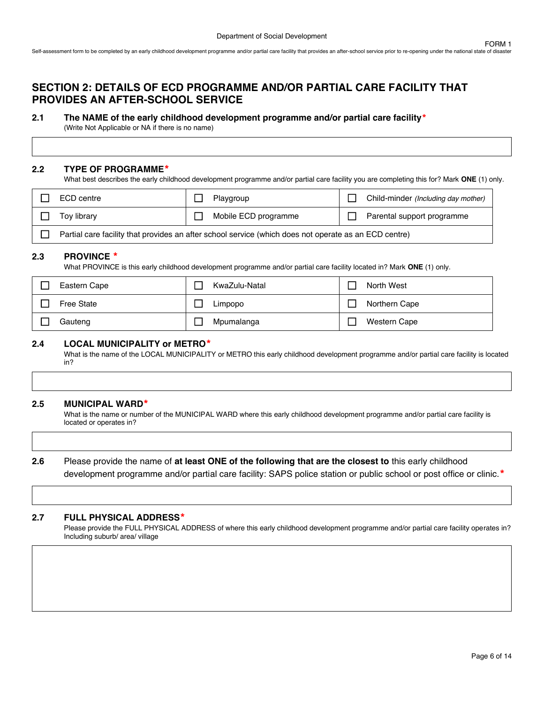# **SECTION 2: DETAILS OF ECD PROGRAMME AND/OR PARTIAL CARE FACILITY THAT PROVIDES AN AFTER-SCHOOL SERVICE**

### **2.1 The NAME of the early childhood development programme and/or partial care facility**\*

(Write Not Applicable or NA if there is no name)

### **2.2 TYPE OF PROGRAMME**\*

What best describes the early childhood development programme and/or partial care facility you are completing this for? Mark **ONE** (1) only.

| ECD centre                                                                                            | Playgroup            | Child-minder (Including day mother) |  |  |
|-------------------------------------------------------------------------------------------------------|----------------------|-------------------------------------|--|--|
| Tov librarv                                                                                           | Mobile ECD programme | Parental support programme          |  |  |
| Partial care facility that provides an after school service (which does not operate as an ECD centre) |                      |                                     |  |  |

### **2.3 PROVINCE** \*

What PROVINCE is this early childhood development programme and/or partial care facility located in? Mark **ONE** (1) only.

| Eastern Cape      | KwaZulu-Natal | North West          |
|-------------------|---------------|---------------------|
| <b>Free State</b> | Limpopo       | Northern Cape       |
| Gauteng           | Mpumalanga    | <b>Western Cape</b> |

### **2.4 LOCAL MUNICIPALITY or METRO**\*

What is the name of the LOCAL MUNICIPALITY or METRO this early childhood development programme and/or partial care facility is located in?

#### **2.5 MUNICIPAL WARD**\*

What is the name or number of the MUNICIPAL WARD where this early childhood development programme and/or partial care facility is located or operates in?

### **2.6** Please provide the name of **at least ONE of the following that are the closest to** this early childhood

development programme and/or partial care facility: SAPS police station or public school or post office or clinic.\*

#### **2.7 FULL PHYSICAL ADDRESS**\*

Please provide the FULL PHYSICAL ADDRESS of where this early childhood development programme and/or partial care facility operates in? Including suburb/ area/ village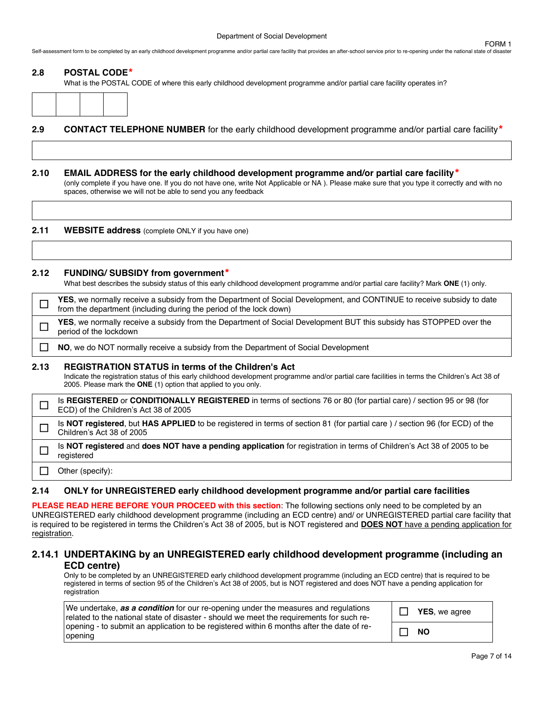Self-assessment form to be completed by an early childhood development programme and/or partial care facility that provides an after-school service prior to re-opening under the national state of disaste

#### **2.8 POSTAL CODE**\*

What is the POSTAL CODE of where this early childhood development programme and/or partial care facility operates in?

### **2.9 CONTACT TELEPHONE NUMBER** for the early childhood development programme and/or partial care facility\*

#### **2.10 EMAIL ADDRESS for the early childhood development programme and/or partial care facility**\*

(only complete if you have one. If you do not have one, write Not Applicable or NA ). Please make sure that you type it correctly and with no spaces, otherwise we will not be able to send you any feedback

**2.11 WEBSITE address** (complete ONLY if you have one)

### **2.12 FUNDING/ SUBSIDY from government**\*

What best describes the subsidy status of this early childhood development programme and/or partial care facility? Mark **ONE** (1) only.

|      | <b>YES</b> , we normally receive a subsidy from the Department of Social Development, and CONTINUE to receive subsidy to date<br>from the department (including during the period of the lock down)                                                                            |
|------|--------------------------------------------------------------------------------------------------------------------------------------------------------------------------------------------------------------------------------------------------------------------------------|
|      | <b>YES</b> , we normally receive a subsidy from the Department of Social Development BUT this subsidy has STOPPED over the<br>period of the lockdown                                                                                                                           |
|      | NO, we do NOT normally receive a subsidy from the Department of Social Development                                                                                                                                                                                             |
| 2.13 | <b>REGISTRATION STATUS in terms of the Children's Act</b><br>Indicate the registration status of this early childhood development programme and/or partial care facilities in terms the Children's Act 38 of<br>2005. Please mark the ONE (1) option that applied to you only. |
|      | Is REGISTERED or CONDITIONALLY REGISTERED in terms of sections 76 or 80 (for partial care) / section 95 or 98 (for<br>ECD) of the Children's Act 38 of 2005                                                                                                                    |
|      | Is NOT registered, but HAS APPLIED to be registered in terms of section 81 (for partial care) / section 96 (for ECD) of the<br>Children's Act 38 of 2005                                                                                                                       |
|      | Is NOT registered and does NOT have a pending application for registration in terms of Children's Act 38 of 2005 to be<br>registered                                                                                                                                           |
|      | Other (specify):                                                                                                                                                                                                                                                               |

### **2.14 ONLY for UNREGISTERED early childhood development programme and/or partial care facilities**

**PLEASE READ HERE BEFORE YOUR PROCEED with this section**: The following sections only need to be completed by an UNREGISTERED early childhood development programme (including an ECD centre) and/ or UNREGISTERED partial care facility that is required to be registered in terms the Children's Act 38 of 2005, but is NOT registered and **DOES NOT** have a pending application for registration.

### **2.14.1 UNDERTAKING by an UNREGISTERED early childhood development programme (including an ECD centre)**

Only to be completed by an UNREGISTERED early childhood development programme (including an ECD centre) that is required to be registered in terms of section 95 of the Children's Act 38 of 2005, but is NOT registered and does NOT have a pending application for registration

| We undertake, as a condition for our re-opening under the measures and regulations<br>related to the national state of disaster - should we meet the requirements for such re- | $\mathcal{L}$ | <b>YES</b> , we agree |
|--------------------------------------------------------------------------------------------------------------------------------------------------------------------------------|---------------|-----------------------|
| opening - to submit an application to be registered within 6 months after the date of re-<br>opening                                                                           |               | <b>NO</b>             |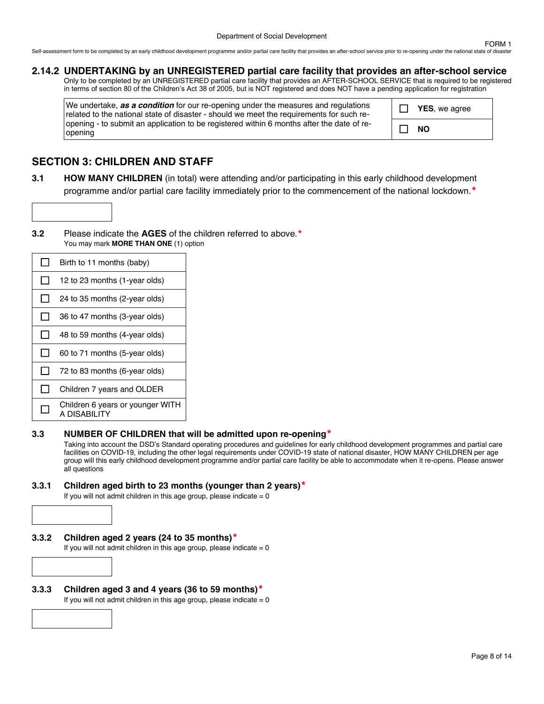Self-assessment form to be completed by an early childhood development programme and/or partial care facility that provides an after-school service prior to re-opening under the national state of disaste

### **2.14.2 UNDERTAKING by an UNREGISTERED partial care facility that provides an after-school service**

Only to be completed by an UNREGISTERED partial care facility that provides an AFTER-SCHOOL SERVICE that is required to be registered in terms of section 80 of the Children's Act 38 of 2005, but is NOT registered and does NOT have a pending application for registration

We undertake, *as a condition* for our re-opening under the measures and regulations related to the national state of disaster - should we meet the requirements for such reopening - to submit an application to be registered within 6 months after the date of reopening

☐ **YES**, we agree ☐ **NO**

# **SECTION 3: CHILDREN AND STAFF**

- **3.1 HOW MANY CHILDREN** (in total) were attending and/or participating in this early childhood development programme and/or partial care facility immediately prior to the commencement of the national lockdown.<sup>\*</sup>
- **3.2** Please indicate the **AGES** of the children referred to above.\* You may mark **MORE THAN ONE** (1) option

| L            | Birth to 11 months (baby)                         |
|--------------|---------------------------------------------------|
| ΙI           | 12 to 23 months (1-year olds)                     |
| $\mathsf{L}$ | 24 to 35 months (2-year olds)                     |
| $\mathsf{L}$ | 36 to 47 months (3-year olds)                     |
|              | 48 to 59 months (4-year olds)                     |
|              | 60 to 71 months (5-year olds)                     |
| $\mathsf{L}$ | 72 to 83 months (6-year olds)                     |
|              | Children 7 years and OLDER                        |
|              | Children 6 years or younger WITH<br>A DISABII ITY |

### **3.3 NUMBER OF CHILDREN that will be admitted upon re-opening**\*

Taking into account the DSD's Standard operating procedures and guidelines for early childhood development programmes and partial care facilities on COVID-19, including the other legal requirements under COVID-19 state of national disaster, HOW MANY CHILDREN per age group will this early childhood development programme and/or partial care facility be able to accommodate when it re-opens. Please answer all questions

### **3.3.1 Children aged birth to 23 months (younger than 2 years)**\*

If you will not admit children in this age group, please indicate  $= 0$ 



**3.3.3 Children aged 3 and 4 years (36 to 59 months)**\* If you will not admit children in this age group, please indicate  $= 0$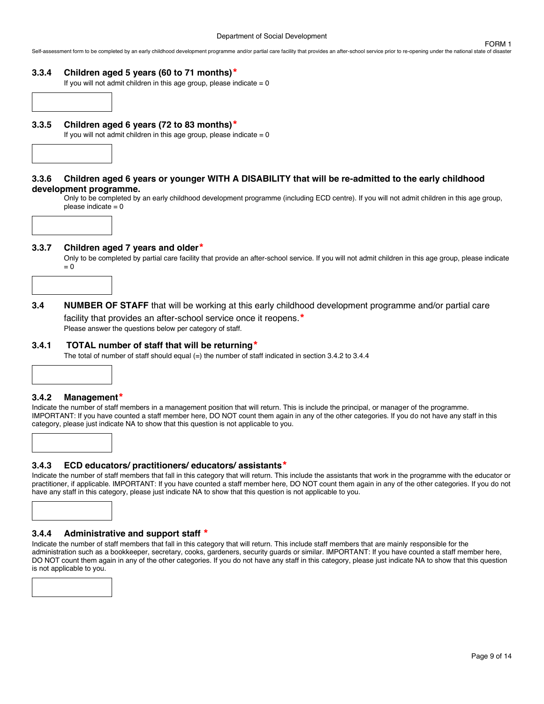Self-assessment form to be completed by an early childhood development programme and/or partial care facility that provides an after-school service prior to re-opening under the national state of disaste

#### **3.3.4 Children aged 5 years (60 to 71 months)**\*

If you will not admit children in this age group, please indicate  $= 0$ 

**3.3.5 Children aged 6 years (72 to 83 months)**\*

If you will not admit children in this age group, please indicate  $= 0$ 



#### **3.3.6 Children aged 6 years or younger WITH A DISABILITY that will be re-admitted to the early childhood development programme.**

Only to be completed by an early childhood development programme (including ECD centre). If you will not admit children in this age group, please indicate  $= 0$ 



#### **3.3.7 Children aged 7 years and older**\*

Only to be completed by partial care facility that provide an after-school service. If you will not admit children in this age group, please indicate  $= 0$ 



#### **3.4.1 TOTAL number of staff that will be returning**\*

The total of number of staff should equal (=) the number of staff indicated in section 3.4.2 to 3.4.4

#### **3.4.2 Management**\*

Indicate the number of staff members in a management position that will return. This is include the principal, or manager of the programme. IMPORTANT: If you have counted a staff member here, DO NOT count them again in any of the other categories. If you do not have any staff in this category, please just indicate NA to show that this question is not applicable to you.

#### **3.4.3 ECD educators/ practitioners/ educators/ assistants**\*

Indicate the number of staff members that fall in this category that will return. This include the assistants that work in the programme with the educator or practitioner, if applicable. IMPORTANT: If you have counted a staff member here, DO NOT count them again in any of the other categories. If you do not have any staff in this category, please just indicate NA to show that this question is not applicable to you.



Indicate the number of staff members that fall in this category that will return. This include staff members that are mainly responsible for the administration such as a bookkeeper, secretary, cooks, gardeners, security guards or similar. IMPORTANT: If you have counted a staff member here, DO NOT count them again in any of the other categories. If you do not have any staff in this category, please just indicate NA to show that this question is not applicable to you.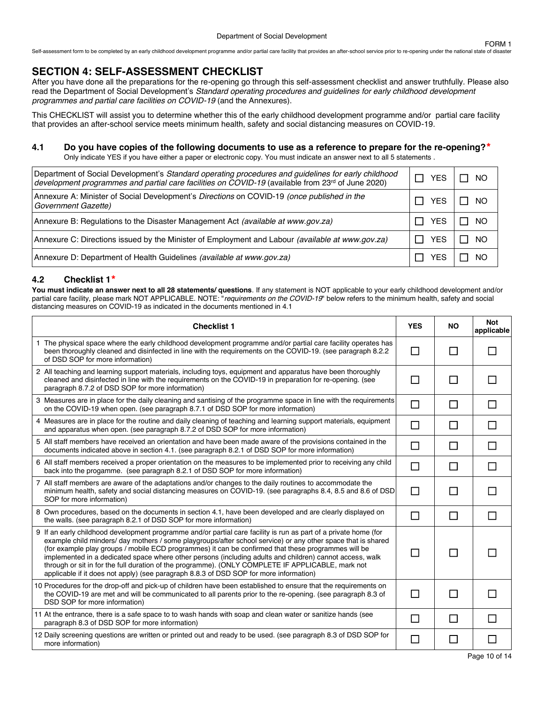Self-assessment form to be completed by an early childhood development programme and/or partial care facility that provides an after-school service prior to re-opening under the national state of disaster

# **SECTION 4: SELF-ASSESSMENT CHECKLIST**

After you have done all the preparations for the re-opening go through this self-assessment checklist and answer truthfully. Please also read the Department of Social Development's *Standard operating procedures and guidelines for early childhood development programmes and partial care facilities on COVID-19* (and the Annexures).

This CHECKLIST will assist you to determine whether this of the early childhood development programme and/or partial care facility that provides an after-school service meets minimum health, safety and social distancing measures on COVID-19.

### **4.1 Do you have copies of the following documents to use as a reference to prepare for the re-opening?**\*

Only indicate YES if you have either a paper or electronic copy. You must indicate an answer next to all 5 statements .

| Department of Social Development's Standard operating procedures and guidelines for early childhood<br>development programmes and partial care facilities on COVID-19 (available from 23rd of June 2020) | YES | NO  |
|----------------------------------------------------------------------------------------------------------------------------------------------------------------------------------------------------------|-----|-----|
| Annexure A: Minister of Social Development's Directions on COVID-19 (once published in the<br>Government Gazette)                                                                                        | YFS | NO. |
| Annexure B: Regulations to the Disaster Management Act (available at www.gov.za)                                                                                                                         | YES | NO. |
| Annexure C: Directions issued by the Minister of Employment and Labour (available at www.gov.za)                                                                                                         | YFS | NO. |
| Annexure D: Department of Health Guidelines (available at www.gov.za)                                                                                                                                    |     | ΝO  |

### **4.2 Checklist 1**\*

**You must indicate an answer next to all 28 statements/ questions**. If any statement is NOT applicable to your early childhood development and/or partial care facility, please mark NOT APPLICABLE. NOTE: "*requirements on the COVID-19*" below refers to the minimum health, safety and social distancing measures on COVID-19 as indicated in the documents mentioned in 4.1

| <b>Checklist 1</b>                                                                                                                                                                                                                                                                                                                                                                                                                                                                                                                                                                                                                                | <b>YES</b> | <b>NO</b> | <b>Not</b><br>applicable |
|---------------------------------------------------------------------------------------------------------------------------------------------------------------------------------------------------------------------------------------------------------------------------------------------------------------------------------------------------------------------------------------------------------------------------------------------------------------------------------------------------------------------------------------------------------------------------------------------------------------------------------------------------|------------|-----------|--------------------------|
| 1 The physical space where the early childhood development programme and/or partial care facility operates has<br>been thoroughly cleaned and disinfected in line with the requirements on the COVID-19. (see paragraph 8.2.2)<br>of DSD SOP for more information)                                                                                                                                                                                                                                                                                                                                                                                | $\Box$     | П         | $\mathsf{L}$             |
| 2 All teaching and learning support materials, including toys, equipment and apparatus have been thoroughly<br>cleaned and disinfected in line with the requirements on the COVID-19 in preparation for re-opening. (see<br>paragraph 8.7.2 of DSD SOP for more information)                                                                                                                                                                                                                                                                                                                                                                      | П          | П         | П                        |
| 3 Measures are in place for the daily cleaning and santising of the programme space in line with the requirements<br>on the COVID-19 when open. (see paragraph 8.7.1 of DSD SOP for more information)                                                                                                                                                                                                                                                                                                                                                                                                                                             | П          | П         | П                        |
| 4 Measures are in place for the routine and daily cleaning of teaching and learning support materials, equipment<br>and apparatus when open. (see paragraph 8.7.2 of DSD SOP for more information)                                                                                                                                                                                                                                                                                                                                                                                                                                                | П          | П         | П                        |
| 5 All staff members have received an orientation and have been made aware of the provisions contained in the<br>documents indicated above in section 4.1. (see paragraph 8.2.1 of DSD SOP for more information)                                                                                                                                                                                                                                                                                                                                                                                                                                   | П          | П         | П                        |
| 6 All staff members received a proper orientation on the measures to be implemented prior to receiving any child<br>back into the progamme. (see paragraph 8.2.1 of DSD SOP for more information)                                                                                                                                                                                                                                                                                                                                                                                                                                                 | $\Box$     | П         | П                        |
| 7 All staff members are aware of the adaptations and/or changes to the daily routines to accommodate the<br>minimum health, safety and social distancing measures on COVID-19. (see paragraphs 8.4, 8.5 and 8.6 of DSD<br>SOP for more information)                                                                                                                                                                                                                                                                                                                                                                                               | П          | П         | П                        |
| 8 Own procedures, based on the documents in section 4.1, have been developed and are clearly displayed on<br>the walls. (see paragraph 8.2.1 of DSD SOP for more information)                                                                                                                                                                                                                                                                                                                                                                                                                                                                     | $\Box$     | П         | П                        |
| 9 If an early childhood development programme and/or partial care facility is run as part of a private home (for<br>example child minders/day mothers / some playgroups/after school service) or any other space that is shared<br>(for example play groups / mobile ECD programmes) it can be confirmed that these programmes will be<br>implemented in a dedicated space where other persons (including adults and children) cannot access, walk<br>through or sit in for the full duration of the programme). (ONLY COMPLETE IF APPLICABLE, mark not<br>applicable if it does not apply) (see paragraph 8.8.3 of DSD SOP for more information) | $\sim$     | П         |                          |
| 10 Procedures for the drop-off and pick-up of children have been established to ensure that the requirements on<br>the COVID-19 are met and will be communicated to all parents prior to the re-opening. (see paragraph 8.3 of<br>DSD SOP for more information)                                                                                                                                                                                                                                                                                                                                                                                   | П          | П         |                          |
| 11 At the entrance, there is a safe space to to wash hands with soap and clean water or sanitize hands (see<br>paragraph 8.3 of DSD SOP for more information)                                                                                                                                                                                                                                                                                                                                                                                                                                                                                     | $\Box$     | П         | П                        |
| 12 Daily screening questions are written or printed out and ready to be used. (see paragraph 8.3 of DSD SOP for<br>more information)                                                                                                                                                                                                                                                                                                                                                                                                                                                                                                              | П          | П         | $\Box$                   |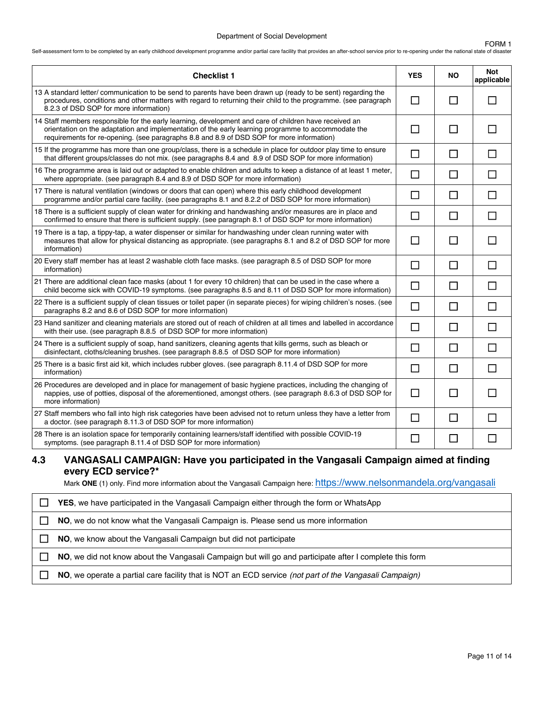#### Department of Social Development

#### FORM 1

Self-assessment form to be completed by an early childhood development programme and/or partial care facility that provides an after-school service prior to re-opening under the national state of disaster

| <b>Checklist 1</b>                                                                                                                                                                                                                                                                                         | <b>YES</b>                  | <b>NO</b> | <b>Not</b><br>applicable |
|------------------------------------------------------------------------------------------------------------------------------------------------------------------------------------------------------------------------------------------------------------------------------------------------------------|-----------------------------|-----------|--------------------------|
| 13 A standard letter/ communication to be send to parents have been drawn up (ready to be sent) regarding the<br>procedures, conditions and other matters with regard to returning their child to the programme. (see paragraph<br>8.2.3 of DSD SOP for more information)                                  | $\Box$                      | $\Box$    | ΙI                       |
| 14 Staff members responsible for the early learning, development and care of children have received an<br>orientation on the adaptation and implementation of the early learning programme to accommodate the<br>requirements for re-opening. (see paragraphs 8.8 and 8.9 of DSD SOP for more information) | П                           | П         | П                        |
| 15 If the programme has more than one group/class, there is a schedule in place for outdoor play time to ensure<br>that different groups/classes do not mix. (see paragraphs 8.4 and 8.9 of DSD SOP for more information)                                                                                  | $\Box$                      | $\Box$    | $\Box$                   |
| 16 The programme area is laid out or adapted to enable children and adults to keep a distance of at least 1 meter,<br>where appropriate. (see paragraph 8.4 and 8.9 of DSD SOP for more information)                                                                                                       | $\Box$                      | $\Box$    | П                        |
| 17 There is natural ventilation (windows or doors that can open) where this early childhood development<br>programme and/or partial care facility. (see paragraphs 8.1 and 8.2.2 of DSD SOP for more information)                                                                                          | П                           | $\Box$    | $\Box$                   |
| 18 There is a sufficient supply of clean water for drinking and handwashing and/or measures are in place and<br>confirmed to ensure that there is sufficient supply. (see paragraph 8.1 of DSD SOP for more information)                                                                                   | П                           | $\Box$    | П                        |
| 19 There is a tap, a tippy-tap, a water dispenser or similar for handwashing under clean running water with<br>measures that allow for physical distancing as appropriate. (see paragraphs 8.1 and 8.2 of DSD SOP for more<br>information)                                                                 | П                           | П         | П                        |
| 20 Every staff member has at least 2 washable cloth face masks. (see paragraph 8.5 of DSD SOP for more<br>information)                                                                                                                                                                                     | $\Box$                      | $\Box$    | $\Box$                   |
| 21 There are additional clean face masks (about 1 for every 10 children) that can be used in the case where a<br>child become sick with COVID-19 symptoms. (see paragraphs 8.5 and 8.11 of DSD SOP for more information)                                                                                   | $\Box$                      | $\Box$    | $\Box$                   |
| 22 There is a sufficient supply of clean tissues or toilet paper (in separate pieces) for wiping children's noses. (see<br>paragraphs 8.2 and 8.6 of DSD SOP for more information)                                                                                                                         | $\Box$                      | $\Box$    | П                        |
| 23 Hand sanitizer and cleaning materials are stored out of reach of children at all times and labelled in accordance<br>with their use. (see paragraph 8.8.5 of DSD SOP for more information)                                                                                                              | $\Box$                      | $\Box$    | $\Box$                   |
| 24 There is a sufficient supply of soap, hand sanitizers, cleaning agents that kills germs, such as bleach or<br>disinfectant, cloths/cleaning brushes. (see paragraph 8.8.5 of DSD SOP for more information)                                                                                              | П                           | $\Box$    | $\Box$                   |
| 25 There is a basic first aid kit, which includes rubber gloves. (see paragraph 8.11.4 of DSD SOP for more<br>information)                                                                                                                                                                                 | $\Box$                      | $\Box$    | $\Box$                   |
| 26 Procedures are developed and in place for management of basic hygiene practices, including the changing of<br>nappies, use of potties, disposal of the aforementioned, amongst others. (see paragraph 8.6.3 of DSD SOP for<br>more information)                                                         | □                           | $\Box$    | П                        |
| 27 Staff members who fall into high risk categories have been advised not to return unless they have a letter from<br>a doctor. (see paragraph 8.11.3 of DSD SOP for more information)                                                                                                                     | $\Box$                      | П         | П                        |
| 28 There is an isolation space for temporarily containing learners/staff identified with possible COVID-19<br>symptoms. (see paragraph 8.11.4 of DSD SOP for more information)                                                                                                                             | $\mathcal{L}_{\mathcal{A}}$ | Π         | ΙI                       |

# **4.3 VANGASALI CAMPAIGN: Have you participated in the Vangasali Campaign aimed at finding every ECD service?\***

Mark ONE (1) only. Find more information about the Vangasali Campaign here: [https://www.nelsonmandela.org/vangasali](http://www.nelsonmandela.org/vangasali)

| <b>YES</b> , we have participated in the Vangasali Campaign either through the form or WhatsApp         |
|---------------------------------------------------------------------------------------------------------|
| NO, we do not know what the Vangasali Campaign is. Please send us more information                      |
| NO, we know about the Vangasali Campaign but did not participate                                        |
| NO, we did not know about the Vangasali Campaign but will go and participate after I complete this form |
| NO, we operate a partial care facility that is NOT an ECD service (not part of the Vangasali Campaign)  |
|                                                                                                         |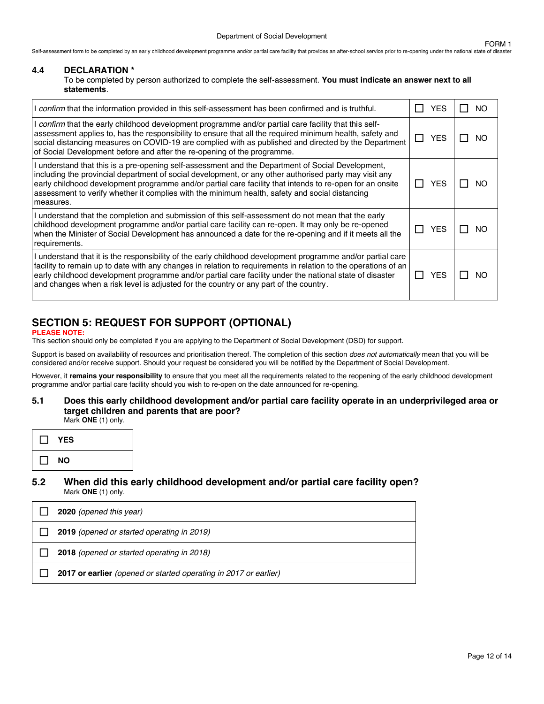Self-assessment form to be completed by an early childhood development programme and/or partial care facility that provides an after-school service prior to re-opening under the national state of disaster

#### **4.4 DECLARATION \***

To be completed by person authorized to complete the self-assessment. **You must indicate an answer next to all statements**.

| confirm that the information provided in this self-assessment has been confirmed and is truthful.                                                                                                                                                                                                                                                                                                                                      |                | YES        | NO. |
|----------------------------------------------------------------------------------------------------------------------------------------------------------------------------------------------------------------------------------------------------------------------------------------------------------------------------------------------------------------------------------------------------------------------------------------|----------------|------------|-----|
| l <i>confirm</i> that the early childhood development programme and/or partial care facility that this self-<br>assessment applies to, has the responsibility to ensure that all the required minimum health, safety and<br>social distancing measures on COVID-19 are complied with as published and directed by the Department<br>of Social Development before and after the re-opening of the programme.                            | $\blacksquare$ | <b>YES</b> | NO. |
| I understand that this is a pre-opening self-assessment and the Department of Social Development,<br>including the provincial department of social development, or any other authorised party may visit any<br>early childhood development programme and/or partial care facility that intends to re-open for an onsite<br>assessment to verify whether it complies with the minimum health, safety and social distancing<br>measures. |                | YES        | NO. |
| I understand that the completion and submission of this self-assessment do not mean that the early<br>childhood development programme and/or partial care facility can re-open. It may only be re-opened<br>when the Minister of Social Development has announced a date for the re-opening and if it meets all the<br>requirements.                                                                                                   |                | YES        | NO. |
| l understand that it is the responsibility of the early childhood development programme and/or partial care<br>facility to remain up to date with any changes in relation to requirements in relation to the operations of an<br>early childhood development programme and/or partial care facility under the national state of disaster<br>and changes when a risk level is adjusted for the country or any part of the country.      |                | <b>YES</b> | NO. |

# **SECTION 5: REQUEST FOR SUPPORT (OPTIONAL)**

#### **PLEASE NOTE:**

This section should only be completed if you are applying to the Department of Social Development (DSD) for support.

Support is based on availability of resources and prioritisation thereof. The completion of this section *does not automatically* mean that you will be considered and/or receive support. Should your request be considered you will be notified by the Department of Social Development.

However, it **remains your responsibility** to ensure that you meet all the requirements related to the reopening of the early childhood development programme and/or partial care facility should you wish to re-open on the date announced for re-opening.

#### **5.1 Does this early childhood development and/or partial care facility operate in an underprivileged area or target children and parents that are poor?** Mark **ONE** (1) only.

| <b>YES</b> |  |
|------------|--|
| <b>NO</b>  |  |

### **5.2 When did this early childhood development and/or partial care facility open?** Mark **ONE** (1) only.

| 2020 (opened this year)                                          |
|------------------------------------------------------------------|
| 2019 (opened or started operating in 2019)                       |
| 2018 (opened or started operating in 2018)                       |
| 2017 or earlier (opened or started operating in 2017 or earlier) |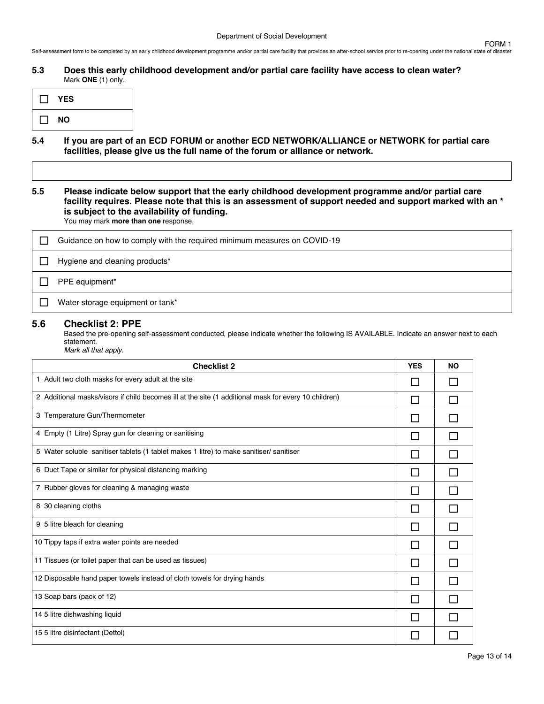**5.3 Does this early childhood development and/or partial care facility have access to clean water?** Mark **ONE** (1) only.

| II YES      |  |
|-------------|--|
| $\sqcup$ NO |  |

**5.4 If you are part of an ECD FORUM or another ECD NETWORK/ALLIANCE or NETWORK for partial care facilities, please give us the full name of the forum or alliance or network.**

**5.5 Please indicate below support that the early childhood development programme and/or partial care facility requires. Please note that this is an assessment of support needed and support marked with an \* is subject to the availability of funding.**

You may mark **more than one** response.

| Guidance on how to comply with the required minimum measures on COVID-19 |
|--------------------------------------------------------------------------|
| Hygiene and cleaning products*                                           |
| PPE equipment*                                                           |
| Water storage equipment or tank*                                         |

### **5.6 Checklist 2: PPE**

Based the pre-opening self-assessment conducted, please indicate whether the following IS AVAILABLE. Indicate an answer next to each statement. *Mark all that apply.*

| <b>Checklist 2</b>                                                                                   |                | <b>NO</b> |
|------------------------------------------------------------------------------------------------------|----------------|-----------|
| 1 Adult two cloth masks for every adult at the site                                                  |                |           |
| 2 Additional masks/visors if child becomes ill at the site (1 additional mask for every 10 children) |                |           |
| 3 Temperature Gun/Thermometer                                                                        |                |           |
| 4 Empty (1 Litre) Spray gun for cleaning or sanitising                                               |                |           |
| 5 Water soluble sanitiser tablets (1 tablet makes 1 litre) to make sanitiser/ sanitiser              |                |           |
| 6 Duct Tape or similar for physical distancing marking                                               |                |           |
| 7 Rubber gloves for cleaning & managing waste                                                        |                |           |
| 8 30 cleaning cloths                                                                                 | <b>College</b> |           |
| 9 5 litre bleach for cleaning                                                                        |                |           |
| 10 Tippy taps if extra water points are needed                                                       |                |           |
| 11 Tissues (or toilet paper that can be used as tissues)                                             |                |           |
| 12 Disposable hand paper towels instead of cloth towels for drying hands                             |                |           |
| 13 Soap bars (pack of 12)                                                                            |                |           |
| 14 5 litre dishwashing liquid                                                                        |                |           |
| 15 5 litre disinfectant (Dettol)                                                                     |                |           |

FORM 1